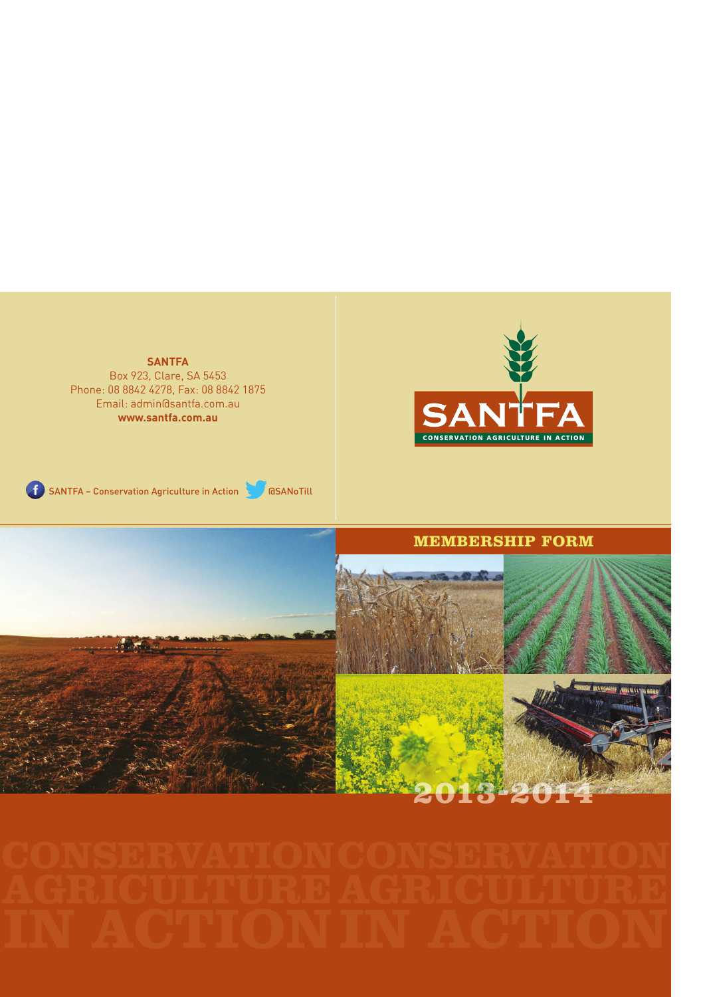**SANTFA**  Box 923, Clare, SA 5453 Phone: 08 8842 4278, Fax: 08 8842 1875 Email: admin@santfa.com.au **www.santfa.com.au**